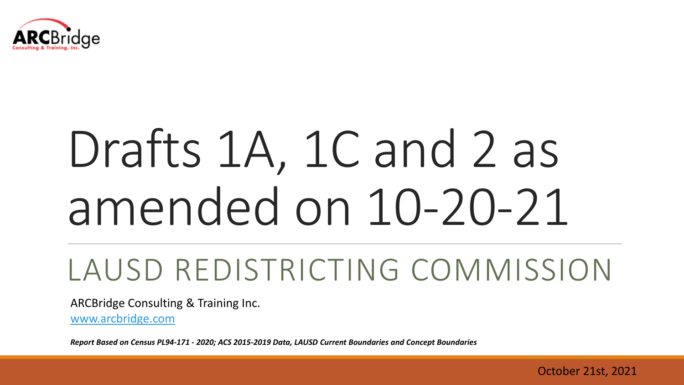

# Drafts 1A, 1C and 2 as amended on 10-20-21

# LAUSD REDISTRICTING COMMISSION

ARCBridge Consulting & Training Inc.

[www.arcbridge.com](http://www.arcbridge.com/)

*Report Based on Census PL94-171 - 2020; ACS 2015-2019 Data, LAUSD Current Boundaries and Concept Boundaries* 

October 21st, 2021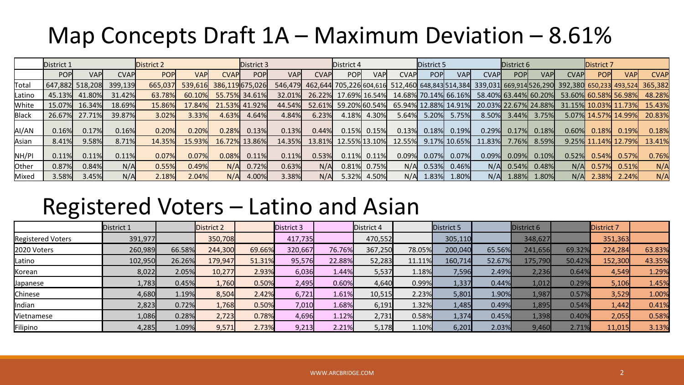# Map Concepts Draft  $1A -$  Maximum Deviation  $-8.61\%$

|        | District 1      |               |             | District 2 |            |                | District 3    |             |             | District 4    |            |                      | District 5           |              |              | District 6  |                      |             | District 7  |                        |                                                                                                                 |
|--------|-----------------|---------------|-------------|------------|------------|----------------|---------------|-------------|-------------|---------------|------------|----------------------|----------------------|--------------|--------------|-------------|----------------------|-------------|-------------|------------------------|-----------------------------------------------------------------------------------------------------------------|
|        | <b>POPI</b>     | <b>VAP</b>    | <b>CVAP</b> | <b>POP</b> | <b>VAP</b> | <b>CVAPI</b>   | POP           | <b>VAPI</b> | <b>CVAP</b> | <b>POPI</b>   | <b>VAP</b> | CVAPI                | <b>POP</b>           | <b>VAP</b>   | <b>CVAPI</b> | <b>POPI</b> | <b>VAPI</b>          | <b>CVAP</b> | <b>POPI</b> | <b>VAPI</b>            | <b>CVAP</b>                                                                                                     |
| Total  | 647,882 518,208 |               | 399,139     | 665,037    | 539,616    | 386,119675,026 |               |             |             |               |            |                      |                      |              |              |             |                      |             |             |                        | 546,479 462,644 705,226 604,616 512,460 648,843 514,384 339,031 669,914 526,290 392,380 650,233 493,524 365,382 |
| Latino |                 | 45.13% 41.80% | 31.42%      | 63.78%     | 60.10%     |                | 55.75% 34.61% | 32.01%      | 26.22%      | 17.69% 16.54% |            | 14.68% 70.14% 66.16% |                      |              |              |             | 58.40% 63.44% 60.20% |             |             | 53.60% 60.58% 56.98%   | 48.28%                                                                                                          |
| White  |                 | 15.07% 16.34% | 18.69%      | 15.86%     | 17.84%     |                | 21.53% 41.92% | 44.54%      | 52.61%      | 59.20%60.54%  |            |                      | 65.94% 12.88% 14.91% |              |              |             | 20.03% 22.67% 24.88% |             |             | 31.15% 10.03% 11.73%   | 15.43%                                                                                                          |
| Black  |                 | 26.67% 27.71% | 39.87%      | 3.02%      | 3.33%      | 4.63%          | 4.64%         | 4.84%       | 6.23%       | 4.18%         | 4.30%      | 5.64%                | 5.20%                | 5.75%        | 8.50%        | 3.44%       | 3.75%                |             |             | 5.07% 14.57% 14.99%    | 20.83%                                                                                                          |
| AI/AN  | 0.16%           | 0.17%         | 0.16%       | 0.20%      | 0.20%      | 0.28%          | 0.13%         | 0.13%       | 0.44%       | 0.15%         | 0.15%      | 0.13%                | 0.18%                | 0.19%        | 0.29%        | 0.17%       | 0.18%                | 0.60%       | 0.18%       | 0.19%                  | 0.18%                                                                                                           |
| Asian  | 8.41%           | 9.58%         | 8.71%       | 14.35%     | 15.93%     |                | 16.72% 13.86% | 14.35%      | 13.81%      | 12.55% 13.10% |            | 12.55%               |                      | 9.17% 10.65% | 11.83%       | 7.76%       | 8.59%                |             |             | $9.25\%$ 11.14% 12.79% | 13.41%                                                                                                          |
| NH/PI  | 0.11%           | 0.11%         | 0.11%       | 0.07%      | 0.07%      | 0.08%          | 0.11%         | 0.11%       | 0.53%       | 0.11%         | 0.11%      | 0.09%                | 0.07%                | 0.07%        | 0.09%        | 0.09%       | 0.10%                | 0.52%       | 0.54%       | 0.57%                  | 0.76%                                                                                                           |
| Other  | 0.87%           | 0.84%         | N/A         | 0.55%      | 0.49%      | N/A            | 0.72%         | 0.63%       | N/A         | 0.81%         | 0.75%      | N/A                  | 0.53%                | 0.46%        | N/A          | 0.54%       | 0.48%                | N/A         | 0.57%       | 0.51%                  | N/A                                                                                                             |
| Mixed  | 3.58%           | 3.45%         | N/A         | 2.18%      | 2.04%      | N/A            | 4.00%         | 3.38%       | N/A         | 5.32%         | 4.50%      | N/A                  | 1.83%                | 1.80%        | N/A          | 1.88%       | 1.80%                | N/A         | 2.38%       | 2.24%                  | N/A                                                                                                             |

#### Registered Voters – Latino and Asian

|                          | District 1 |          | District 2 |        | District 3 |          | District 4 |        | District 5 |        | District 6 |        | District 7 |        |
|--------------------------|------------|----------|------------|--------|------------|----------|------------|--------|------------|--------|------------|--------|------------|--------|
| <b>Registered Voters</b> | 391,977    |          | 350,708    |        | 417,735    |          | 470,552    |        | 305,110    |        | 348,627    |        | 351,363    |        |
| 2020 Voters              | 260,989    | 66.58%   | 244,300    | 69.66% | 320,667    | 76.76%   | 367,250    | 78.05% | 200,040    | 65.56% | 241,656    | 69.32% | 224,284    | 63.83% |
| Latino                   | 102,950    | 26.26%   | 179,947    | 51.31% | 95,576     | 22.88%   | 52,283     | 11.11% | 160,714    | 52.67% | 175,790    | 50.42% | 152,300    | 43.35% |
| Korean                   | 8,022      | 2.05%    | 10,277     | 2.93%  | 6,036      | $1.44\%$ | 5,537      | 1.18%  | 7,596      | 2.49%  | 2,236      | 0.64%  | 4,549      | 1.29%  |
| Japanese                 | 1,783      | 0.45%    | 1,760      | 0.50%  | 2,495      | 0.60%    | 4,640      | 0.99%  | 1,337      | 0.44%  | 1,012      | 0.29%  | 5,106      | 1.45%  |
| Chinese                  | 4,680      | 1.19%    | 8,504      | 2.42%  | 6,721      | 1.61%    | 10,515     | 2.23%  | 5,801      | 1.90%  | 1,987      | 0.57%  | 3,529      | 1.00%  |
| Indian                   | 2,823      | 0.72%    | 1,768      | 0.50%  | 7,010      | 1.68%    | 6,191      | 1.32%  | 1,485      | 0.49%  | 1,895      | 0.54%  | 1,442      | 0.41%  |
| Vietnamese               | 1,086      | 0.28%    | 2,723      | 0.78%  | 4,696      | 1.12%    | 2,731      | 0.58%  | 1,374      | 0.45%  | 1,398      | 0.40%  | 2,055      | 0.58%  |
| Filipino                 | 4,285      | $1.09\%$ | 9,571      | 2.73%  | 9,213      | 2.21%    | 5,178      | 1.10%  | 6,201      | 2.03%  | 9,460      | 2.71%  | 11,015     | 3.13%  |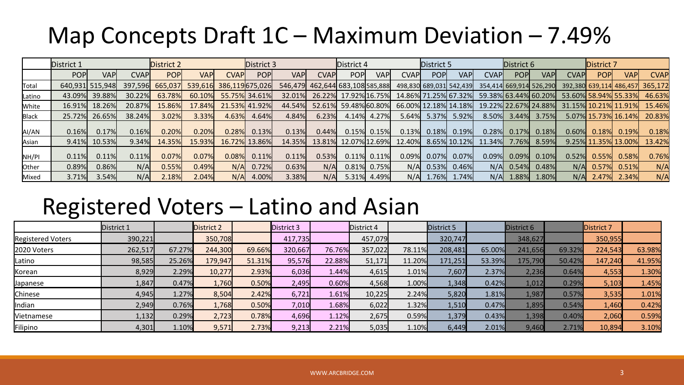## Map Concepts Draft 1C – Maximum Deviation – 7.49%

|              | District 1  |                 |         | District 2 |        |                         | District 3    |             |       | District 4                      |                |                      | District 5 |                      |                                                 | District 6 |                |             | District 7  |                      |                                 |
|--------------|-------------|-----------------|---------|------------|--------|-------------------------|---------------|-------------|-------|---------------------------------|----------------|----------------------|------------|----------------------|-------------------------------------------------|------------|----------------|-------------|-------------|----------------------|---------------------------------|
|              | <b>POPI</b> | <b>VAP</b>      | CVAPI   | <b>POP</b> | VAPI   | <b>CVAPI</b>            | <b>POPI</b>   | <b>VAPI</b> | CVAPI | <b>POPI</b>                     | <b>VAP</b>     | <b>CVAP</b>          | <b>POP</b> | <b>VAP</b>           | <b>CVAP</b>                                     | <b>POP</b> | <b>VAPI</b>    | <b>CVAP</b> | <b>POPI</b> | <b>VAPI</b>          | <b>CVAP</b>                     |
| Total        |             | 640,931 515,948 | 397.596 | 665,037    |        | 539,616 386,119 675,026 |               |             |       | 546,479 462,644 683,108 585,888 |                |                      |            |                      | 498,830 689,031 542,439 354,414 669,914 526,290 |            |                |             |             |                      | 392,380 639,114 486,457 365,172 |
| Latino       |             | 43.09% 39.88%   | 30.22%  | 63.78%     | 60.10% |                         | 55.75% 34.61% | 32.01%      |       | 26.22% 17.92% 16.75%            |                |                      |            | 14.86% 71.25% 67.32% | 59.38% 63.44% 60.20%                            |            |                |             |             | 53.60% 58.94% 55.33% | 46.63%                          |
| White        |             | 16.91% 18.26%   | 20.87%  | 15.86%     | 17.84% |                         | 21.53% 41.92% | 44.54%      |       | 52.61% 59.48% 60.80%            |                | 66.00% 12.18% 14.18% |            |                      | 19.22% 22.67% 24.88%                            |            |                |             |             | 31.15% 10.21% 11.91% | 15.46%                          |
| <b>Black</b> |             | 25.72% 26.65%   | 38.24%  | 3.02%      | 3.33%  | 4.63%                   | 4.64%         | 4.84%       | 6.23% | 4.14%                           | 4.27%          | 5.64%                |            | 5.37% 5.92%          | 8.50%                                           |            | $3.44\%$ 3.75% |             |             | 5.07% 15.73% 16.14%  | 20.83%                          |
| AI/AN        | 0.16%       | 0.17%           | 0.16%   | 0.20%      | 0.20%  | 0.28%                   | 0.13%         | 0.13%       | 0.44% |                                 | $0.15\%$ 0.15% | 0.13%                | 0.18%      | 0.19%                | 0.28%                                           | 0.17%      | 0.18%          | 0.60%       | 0.18%       | 0.19%                | 0.18%                           |
| Asian        |             | 9.41% 10.53%    | 9.34%   | 14.35%     | 15.93% |                         | 16.72% 13.86% | 14.35%      |       | 13.81% 12.07% 12.69%            |                | 12.40%               |            | 8.65% 10.12%         | 11.34%                                          | 7.76%      | 8.59%          |             |             | 9.25% 11.35% 13.00%  | 13.42%                          |
| NH/PI        | 0.11%       | 0.11%           | 0.11%   | 0.07%      | 0.07%  | 0.08%                   | 0.11%         | 0.11%       | 0.53% |                                 | $0.11\%$ 0.11% | 0.09%                | $0.07\%$   | 0.07%                | 0.09%                                           | $0.09\%$   | 0.10%          | 0.52%       | 0.55%       | 0.58%                | 0.76%                           |
| Other        | 0.89%       | 0.86%           | N/A     | 0.55%      | 0.49%  | N/AI                    | 0.72%         | 0.63%       | N/A   |                                 | $0.81\%$ 0.75% | N/A                  | 0.53%      | 0.46%                | N/A                                             | 0.54%      | 0.48%          | N/A         | 0.57%       | 0.51%                | N/A                             |
| Mixed        | 3.71%       | 3.54%           | N/A     | 2.18%      | 2.04%  | N/A                     | 4.00%         | 3.38%       | N/A   | 5.31%                           | 4.49%          | N/A                  | 1.76%      | 1.74%                | N/A                                             | 1.88%      | 1.80%          | N/A         | 2.47%       | 2.34%                | N/A                             |

#### Registered Voters – Latino and Asian

|                          | District 1 |        | District 2 |        | District 3 |        | District 4 |        | District 5 |        | District 6 |        | <b>District 7</b> |        |
|--------------------------|------------|--------|------------|--------|------------|--------|------------|--------|------------|--------|------------|--------|-------------------|--------|
| <b>Registered Voters</b> | 390,221    |        | 350,708    |        | 417,735    |        | 457,079    |        | 320,747    |        | 348,627    |        | 350,955           |        |
| 2020 Voters              | 262,517    | 67.27% | 244,300    | 69.66% | 320,667    | 76.76% | 357,022    | 78.11% | 208,481    | 65.00% | 241,656    | 69.32% | 224,543           | 63.98% |
| Latino                   | 98,585     | 25.26% | 179,947    | 51.31% | 95,576     | 22.88% | 51,171     | 11.20% | 171,251    | 53.39% | 175,790    | 50.42% | 147,240           | 41.95% |
| Korean                   | 8,929      | 2.29%  | 10,277     | 2.93%  | 6,036      | 1.44%  | 4,615      | 1.01%  | 7,607      | 2.37%  | 2,236      | 0.64%  | 4,553             | 1.30%  |
| Japanese                 | 1,847      | 0.47%  | 1,760      | 0.50%  | 2,495      | 0.60%  | 4,568      | 1.00%  | 1,348      | 0.42%  | 1,012      | 0.29%  | 5,103             | 1.45%  |
| Chinese                  | 4,945      | 1.27%  | 8,504      | 2.42%  | 6,721      | 1.61%  | 10,225     | 2.24%  | 5,820      | 1.81%  | 1,987      | 0.57%  | 3,535             | 1.01%  |
| Indian                   | 2,949      | 0.76%  | 1,768      | 0.50%  | 7,010      | 1.68%  | 6,022      | 1.32%  | 1,510      | 0.47%  | 1,895      | 0.54%  | 1,460             | 0.42%  |
| Vietnamese               | 1,132      | 0.29%  | 2,723      | 0.78%  | 4,696      | 1.12%  | 2,675      | 0.59%  | 1,379      | 0.43%  | 1,398      | 0.40%  | 2,060             | 0.59%  |
| Filipino                 | 4,301      | 1.10%  | 9,571      | 2.73%  | 9,213      | 2.21%  | 5,035      | 1.10%  | 6,449      | 2.01%  | 9,460      | 2.71%  | 10,894            | 3.10%  |